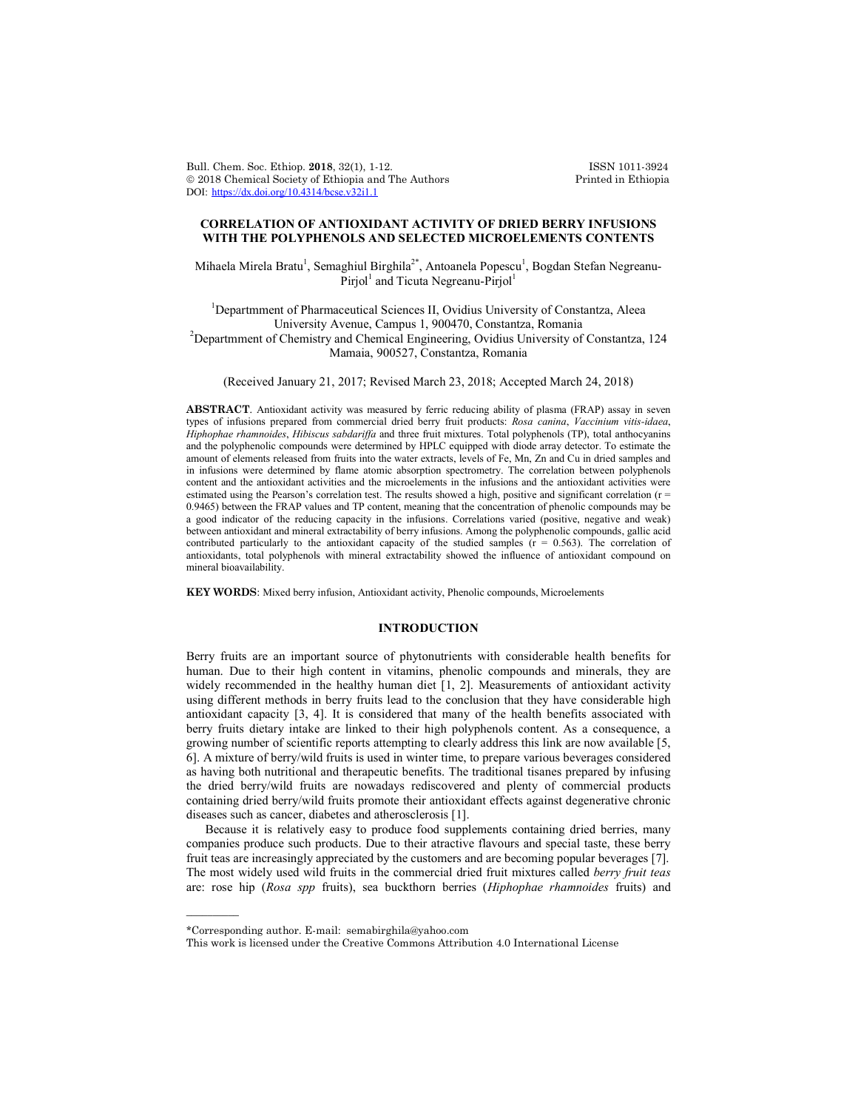Bull. Chem. Soc. Ethiop. **2018**, 32(1), 1-12. ISSN 1011-3924 2018 Chemical Society of Ethiopia and The Authors Printed in Ethiopia DOI: https://dx.doi.org/10.4314/bcse.v32i1.1

# **CORRELATION OF ANTIOXIDANT ACTIVITY OF DRIED BERRY INFUSIONS WITH THE POLYPHENOLS AND SELECTED MICROELEMENTS CONTENTS**

Mihaela Mirela Bratu<sup>1</sup>, Semaghiul Birghila<sup>2\*</sup>, Antoanela Popescu<sup>1</sup>, Bogdan Stefan Negreanu-Pirjol<sup>1</sup> and Ticuta Negreanu-Pirjol<sup>1</sup>

<sup>1</sup>Departmment of Pharmaceutical Sciences II, Ovidius University of Constantza, Aleea University Avenue, Campus 1, 900470, Constantza, Romania <sup>2</sup> <sup>2</sup>Departmment of Chemistry and Chemical Engineering, Ovidius University of Constantza, 124 Mamaia, 900527, Constantza, Romania

(Received January 21, 2017; Revised March 23, 2018; Accepted March 24, 2018)

**ABSTRACT**. Antioxidant activity was measured by ferric reducing ability of plasma (FRAP) assay in seven types of infusions prepared from commercial dried berry fruit products: *Rosa canina*, *Vaccinium vitis-idaea*, *Hiphophae rhamnoides*, *Hibiscus sabdariffa* and three fruit mixtures. Total polyphenols (TP), total anthocyanins and the polyphenolic compounds were determined by HPLC equipped with diode array detector. To estimate the amount of elements released from fruits into the water extracts, levels of Fe, Mn, Zn and Cu in dried samples and in infusions were determined by flame atomic absorption spectrometry. The correlation between polyphenols content and the antioxidant activities and the microelements in the infusions and the antioxidant activities were estimated using the Pearson's correlation test. The results showed a high, positive and significant correlation (r = 0.9465) between the FRAP values and TP content, meaning that the concentration of phenolic compounds may be a good indicator of the reducing capacity in the infusions. Correlations varied (positive, negative and weak) between antioxidant and mineral extractability of berry infusions. Among the polyphenolic compounds, gallic acid contributed particularly to the antioxidant capacity of the studied samples  $(r = 0.563)$ . The correlation of antioxidants, total polyphenols with mineral extractability showed the influence of antioxidant compound on mineral bioavailability.

**KEY WORDS**: Mixed berry infusion, Antioxidant activity, Phenolic compounds, Microelements

## **INTRODUCTION**

Berry fruits are an important source of phytonutrients with considerable health benefits for human. Due to their high content in vitamins, phenolic compounds and minerals, they are widely recommended in the healthy human diet [1, 2]. Measurements of antioxidant activity using different methods in berry fruits lead to the conclusion that they have considerable high antioxidant capacity [3, 4]. It is considered that many of the health benefits associated with berry fruits dietary intake are linked to their high polyphenols content. As a consequence, a growing number of scientific reports attempting to clearly address this link are now available [5, 6]. A mixture of berry/wild fruits is used in winter time, to prepare various beverages considered as having both nutritional and therapeutic benefits. The traditional tisanes prepared by infusing the dried berry/wild fruits are nowadays rediscovered and plenty of commercial products containing dried berry/wild fruits promote their antioxidant effects against degenerative chronic diseases such as cancer, diabetes and atherosclerosis [1].

Because it is relatively easy to produce food supplements containing dried berries, many companies produce such products. Due to their atractive flavours and special taste, these berry fruit teas are increasingly appreciated by the customers and are becoming popular beverages [7]. The most widely used wild fruits in the commercial dried fruit mixtures called *berry fruit teas* are: rose hip (*Rosa spp* fruits), sea buckthorn berries (*Hiphophae rhamnoides* fruits) and

 $\overline{\phantom{a}}$ 

<sup>\*</sup>Corresponding author. E-mail: semabirghila@yahoo.com

This work is licensed under the Creative Commons Attribution 4.0 International License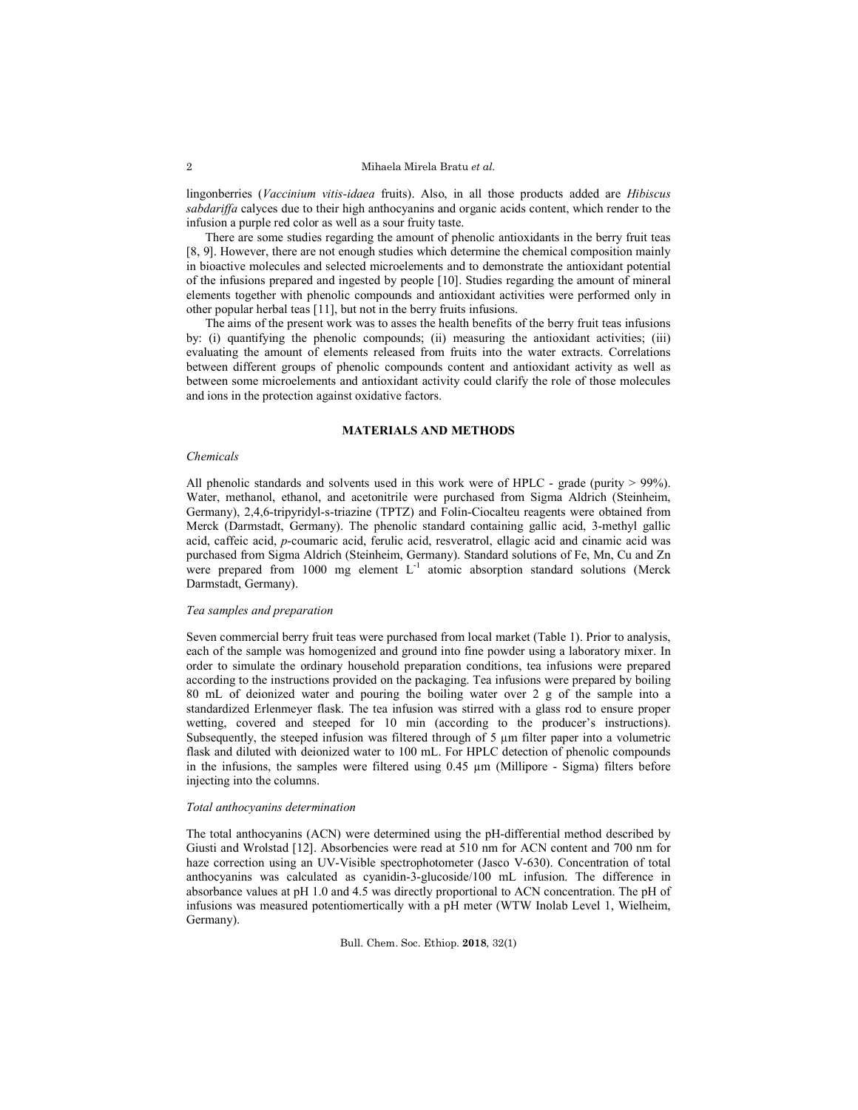lingonberries (*Vaccinium vitis-idaea* fruits). Also, in all those products added are *Hibiscus sabdariffa* calyces due to their high anthocyanins and organic acids content, which render to the infusion a purple red color as well as a sour fruity taste.

There are some studies regarding the amount of phenolic antioxidants in the berry fruit teas [8, 9]. However, there are not enough studies which determine the chemical composition mainly in bioactive molecules and selected microelements and to demonstrate the antioxidant potential of the infusions prepared and ingested by people [10]. Studies regarding the amount of mineral elements together with phenolic compounds and antioxidant activities were performed only in other popular herbal teas [11], but not in the berry fruits infusions.

The aims of the present work was to asses the health benefits of the berry fruit teas infusions by: (i) quantifying the phenolic compounds; (ii) measuring the antioxidant activities; (iii) evaluating the amount of elements released from fruits into the water extracts. Correlations between different groups of phenolic compounds content and antioxidant activity as well as between some microelements and antioxidant activity could clarify the role of those molecules and ions in the protection against oxidative factors.

## **MATERIALS AND METHODS**

## *Chemicals*

All phenolic standards and solvents used in this work were of HPLC - grade (purity  $> 99\%$ ). Water, methanol, ethanol, and acetonitrile were purchased from Sigma Aldrich (Steinheim, Germany), 2,4,6-tripyridyl-s-triazine (TPTZ) and Folin-Ciocalteu reagents were obtained from Merck (Darmstadt, Germany). The phenolic standard containing gallic acid, 3-methyl gallic acid, caffeic acid, *p*-coumaric acid, ferulic acid, resveratrol, ellagic acid and cinamic acid was purchased from Sigma Aldrich (Steinheim, Germany). Standard solutions of Fe, Mn, Cu and Zn were prepared from 1000 mg element  $L^{-1}$  atomic absorption standard solutions (Merck Darmstadt, Germany).

# *Tea samples and preparation*

Seven commercial berry fruit teas were purchased from local market (Table 1). Prior to analysis, each of the sample was homogenized and ground into fine powder using a laboratory mixer. In order to simulate the ordinary household preparation conditions, tea infusions were prepared according to the instructions provided on the packaging. Tea infusions were prepared by boiling 80 mL of deionized water and pouring the boiling water over 2 g of the sample into a standardized Erlenmeyer flask. The tea infusion was stirred with a glass rod to ensure proper wetting, covered and steeped for 10 min (according to the producer's instructions). Subsequently, the steeped infusion was filtered through of  $5 \mu m$  filter paper into a volumetric flask and diluted with deionized water to 100 mL. For HPLC detection of phenolic compounds in the infusions, the samples were filtered using  $0.45 \mu m$  (Millipore - Sigma) filters before injecting into the columns.

## *Total anthocyanins determination*

The total anthocyanins (ACN) were determined using the pH-differential method described by Giusti and Wrolstad [12]. Absorbencies were read at 510 nm for ACN content and 700 nm for haze correction using an UV-Visible spectrophotometer (Jasco V-630). Concentration of total anthocyanins was calculated as cyanidin-3-glucoside/100 mL infusion. The difference in absorbance values at pH 1.0 and 4.5 was directly proportional to ACN concentration. The pH of infusions was measured potentiomertically with a pH meter (WTW Inolab Level 1, Wielheim, Germany).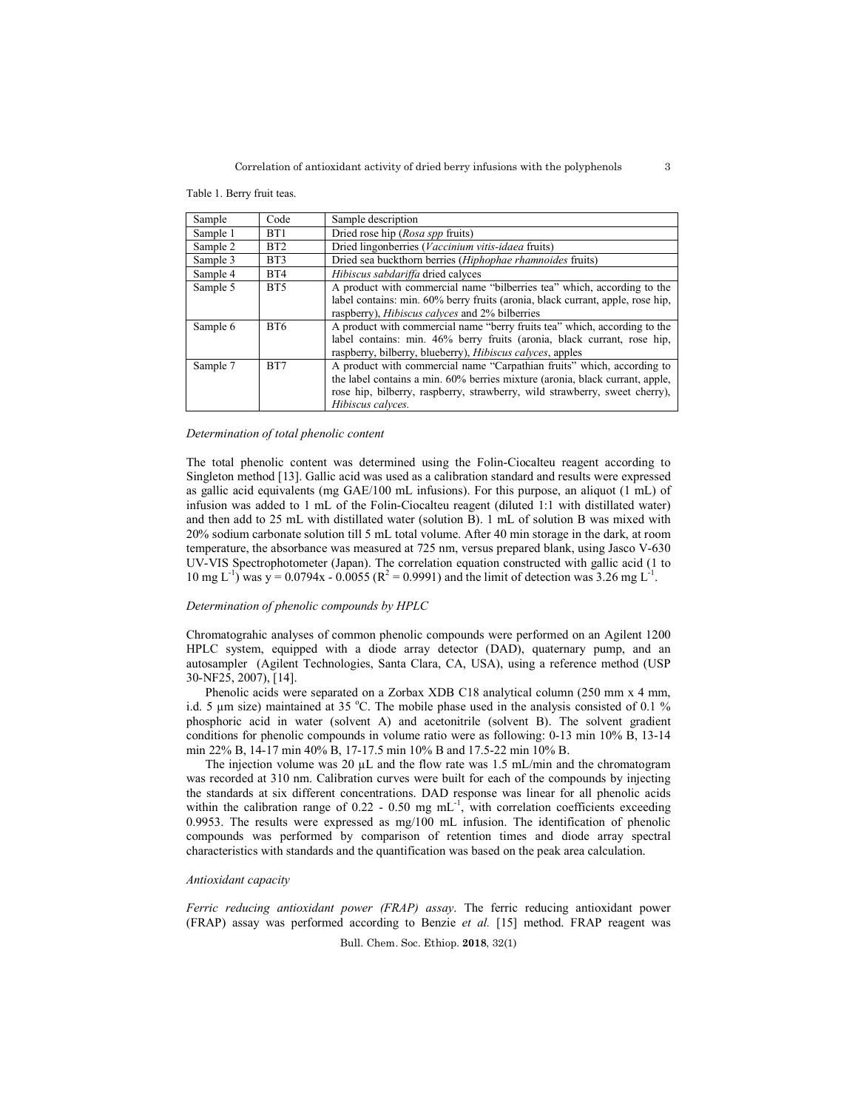3

Table 1. Berry fruit teas.

| Sample   | Code | Sample description                                                                                                                                                                                                                                        |
|----------|------|-----------------------------------------------------------------------------------------------------------------------------------------------------------------------------------------------------------------------------------------------------------|
| Sample 1 | BT1  | Dried rose hip (Rosa spp fruits)                                                                                                                                                                                                                          |
| Sample 2 | BT2  | Dried lingonberries (Vaccinium vitis-idaea fruits)                                                                                                                                                                                                        |
| Sample 3 | BT3  | Dried sea buckthorn berries (Hiphophae rhamnoides fruits)                                                                                                                                                                                                 |
| Sample 4 | BT4  | Hibiscus sabdariffa dried calyces                                                                                                                                                                                                                         |
| Sample 5 | BT5  | A product with commercial name "bilberries tea" which, according to the<br>label contains: min. 60% berry fruits (aronia, black currant, apple, rose hip,<br>raspberry), Hibiscus calyces and 2% bilberries                                               |
| Sample 6 | BT6  | A product with commercial name "berry fruits tea" which, according to the<br>label contains: min. 46% berry fruits (aronia, black currant, rose hip,<br>raspberry, bilberry, blueberry), Hibiscus calyces, apples                                         |
| Sample 7 | BT7  | A product with commercial name "Carpathian fruits" which, according to<br>the label contains a min. 60% berries mixture (aronia, black currant, apple,<br>rose hip, bilberry, raspberry, strawberry, wild strawberry, sweet cherry),<br>Hibiscus calvces. |

### *Determination of total phenolic content*

The total phenolic content was determined using the Folin-Ciocalteu reagent according to Singleton method [13]. Gallic acid was used as a calibration standard and results were expressed as gallic acid equivalents (mg GAE/100 mL infusions). For this purpose, an aliquot (1 mL) of infusion was added to 1 mL of the Folin-Ciocalteu reagent (diluted 1:1 with distillated water) and then add to 25 mL with distillated water (solution B). 1 mL of solution B was mixed with 20% sodium carbonate solution till 5 mL total volume. After 40 min storage in the dark, at room temperature, the absorbance was measured at 725 nm, versus prepared blank, using Jasco V-630 UV-VIS Spectrophotometer (Japan). The correlation equation constructed with gallic acid (1 to 10 mg L<sup>-1</sup>) was y = 0.0794x - 0.0055 ( $R^2$  = 0.9991) and the limit of detection was 3.26 mg L<sup>-1</sup>.

### *Determination of phenolic compounds by HPLC*

Chromatograhic analyses of common phenolic compounds were performed on an Agilent 1200 HPLC system, equipped with a diode array detector (DAD), quaternary pump, and an autosampler (Agilent Technologies, Santa Clara, CA, USA), using a reference method (USP 30-NF25, 2007), [14].

Phenolic acids were separated on a Zorbax XDB C18 analytical column (250 mm x 4 mm, i.d. 5  $\mu$ m size) maintained at 35 °C. The mobile phase used in the analysis consisted of 0.1 % phosphoric acid in water (solvent A) and acetonitrile (solvent B). The solvent gradient conditions for phenolic compounds in volume ratio were as following: 0-13 min 10% B, 13-14 min 22% B, 14-17 min 40% B, 17-17.5 min 10% B and 17.5-22 min 10% B.

The injection volume was 20  $\mu$ L and the flow rate was 1.5 mL/min and the chromatogram was recorded at 310 nm. Calibration curves were built for each of the compounds by injecting the standards at six different concentrations. DAD response was linear for all phenolic acids within the calibration range of  $0.22 - 0.50$  mg mL<sup>-1</sup>, with correlation coefficients exceeding 0.9953. The results were expressed as mg/100 mL infusion. The identification of phenolic compounds was performed by comparison of retention times and diode array spectral characteristics with standards and the quantification was based on the peak area calculation.

## *Antioxidant capacity*

*Ferric reducing antioxidant power (FRAP) assay*. The ferric reducing antioxidant power (FRAP) assay was performed according to Benzie *et al.* [15] method. FRAP reagent was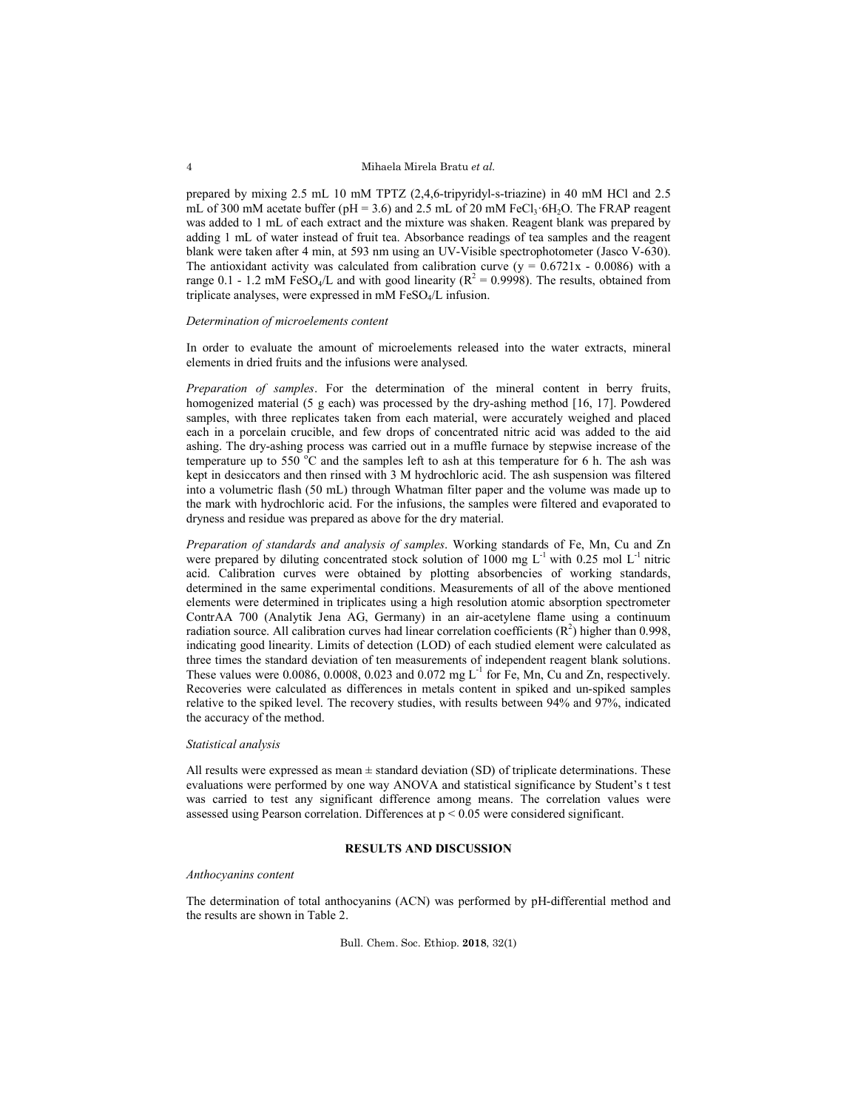prepared by mixing 2.5 mL 10 mM TPTZ (2,4,6-tripyridyl-s-triazine) in 40 mM HCl and 2.5 mL of 300 mM acetate buffer ( $pH = 3.6$ ) and 2.5 mL of 20 mM FeCl<sub>3</sub>·6H<sub>2</sub>O. The FRAP reagent was added to 1 mL of each extract and the mixture was shaken. Reagent blank was prepared by adding 1 mL of water instead of fruit tea. Absorbance readings of tea samples and the reagent blank were taken after 4 min, at 593 nm using an UV-Visible spectrophotometer (Jasco V-630). The antioxidant activity was calculated from calibration curve ( $y = 0.6721x - 0.0086$ ) with a range 0.1 - 1.2 mM FeSO<sub>4</sub>/L and with good linearity ( $R^2 = 0.9998$ ). The results, obtained from triplicate analyses, were expressed in mM FeSO4/L infusion.

## *Determination of microelements content*

In order to evaluate the amount of microelements released into the water extracts, mineral elements in dried fruits and the infusions were analysed.

*Preparation of samples*. For the determination of the mineral content in berry fruits, homogenized material (5 g each) was processed by the dry-ashing method [16, 17]. Powdered samples, with three replicates taken from each material, were accurately weighed and placed each in a porcelain crucible, and few drops of concentrated nitric acid was added to the aid ashing. The dry-ashing process was carried out in a muffle furnace by stepwise increase of the temperature up to 550  $\degree$ C and the samples left to ash at this temperature for 6 h. The ash was kept in desiccators and then rinsed with 3 M hydrochloric acid. The ash suspension was filtered into a volumetric flash (50 mL) through Whatman filter paper and the volume was made up to the mark with hydrochloric acid. For the infusions, the samples were filtered and evaporated to dryness and residue was prepared as above for the dry material.

*Preparation of standards and analysis of samples*. Working standards of Fe, Mn, Cu and Zn were prepared by diluting concentrated stock solution of 1000 mg  $L^{-1}$  with 0.25 mol  $L^{-1}$  nitric acid. Calibration curves were obtained by plotting absorbencies of working standards, determined in the same experimental conditions. Measurements of all of the above mentioned elements were determined in triplicates using a high resolution atomic absorption spectrometer ContrAA 700 (Analytik Jena AG, Germany) in an air-acetylene flame using a continuum radiation source. All calibration curves had linear correlation coefficients  $(R^2)$  higher than 0.998, indicating good linearity. Limits of detection (LOD) of each studied element were calculated as three times the standard deviation of ten measurements of independent reagent blank solutions. These values were 0.0086, 0.0008, 0.023 and 0.072 mg  $L^{-1}$  for Fe, Mn, Cu and Zn, respectively. Recoveries were calculated as differences in metals content in spiked and un-spiked samples relative to the spiked level. The recovery studies, with results between 94% and 97%, indicated the accuracy of the method.

#### *Statistical analysis*

All results were expressed as mean  $\pm$  standard deviation (SD) of triplicate determinations. These evaluations were performed by one way ANOVA and statistical significance by Student's t test was carried to test any significant difference among means. The correlation values were assessed using Pearson correlation. Differences at  $p < 0.05$  were considered significant.

## **RESULTS AND DISCUSSION**

## *Anthocyanins content*

The determination of total anthocyanins (ACN) was performed by pH-differential method and the results are shown in Table 2.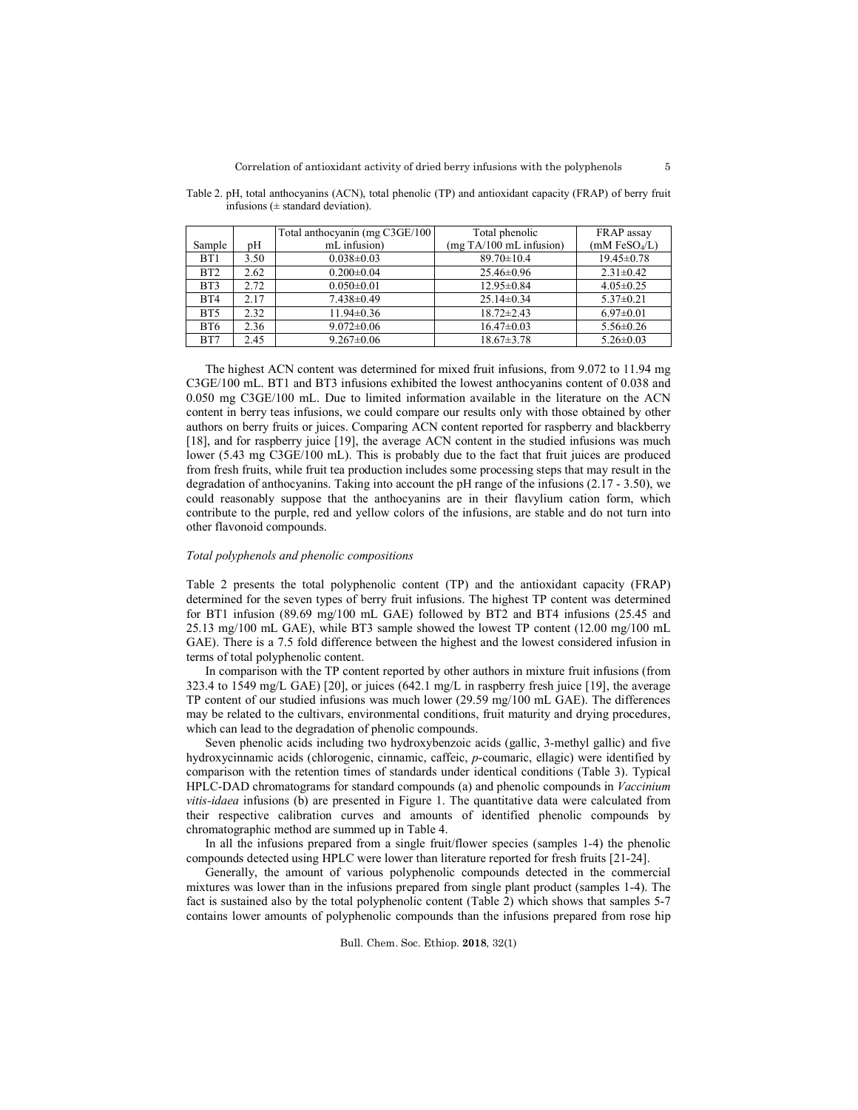|                 |      | Total anthocyanin (mg C3GE/100) | Total phenolic              | FRAP assay                |
|-----------------|------|---------------------------------|-----------------------------|---------------------------|
| Sample          | pH   | mL infusion)                    | $(mg T A/100 mL)$ infusion) | (mM FeSO <sub>4</sub> /L) |
| B <sub>T1</sub> | 3.50 | $0.038 \pm 0.03$                | $89.70 \pm 10.4$            | $19.45 \pm 0.78$          |
| BT2             | 2.62 | $0.200 \pm 0.04$                | $25.46 \pm 0.96$            | $2.31 \pm 0.42$           |
| BT3             | 2.72 | $0.050 \pm 0.01$                | $12.95 \pm 0.84$            | $4.05 \pm 0.25$           |
| BT4             | 2.17 | $7.438 \pm 0.49$                | $25.14 \pm 0.34$            | $5.37 \pm 0.21$           |
| BT5             | 2.32 | $11.94 \pm 0.36$                | $18.72 \pm 2.43$            | $6.97 \pm 0.01$           |
| BT6             | 2.36 | $9.072 \pm 0.06$                | $16.47 \pm 0.03$            | $5.56 \pm 0.26$           |
| BT7             | 2.45 | $9.267 \pm 0.06$                | $18.67 \pm 3.78$            | $5.26 \pm 0.03$           |

Table 2. pH, total anthocyanins (ACN), total phenolic (TP) and antioxidant capacity (FRAP) of berry fruit infusions  $(±$  standard deviation).

The highest ACN content was determined for mixed fruit infusions, from 9.072 to 11.94 mg C3GE/100 mL. BT1 and BT3 infusions exhibited the lowest anthocyanins content of 0.038 and 0.050 mg C3GE/100 mL. Due to limited information available in the literature on the ACN content in berry teas infusions, we could compare our results only with those obtained by other authors on berry fruits or juices. Comparing ACN content reported for raspberry and blackberry [18], and for raspberry juice [19], the average ACN content in the studied infusions was much lower (5.43 mg C3GE/100 mL). This is probably due to the fact that fruit juices are produced from fresh fruits, while fruit tea production includes some processing steps that may result in the degradation of anthocyanins. Taking into account the pH range of the infusions (2.17 - 3.50), we could reasonably suppose that the anthocyanins are in their flavylium cation form, which contribute to the purple, red and yellow colors of the infusions, are stable and do not turn into other flavonoid compounds.

# *Total polyphenols and phenolic compositions*

Table 2 presents the total polyphenolic content (TP) and the antioxidant capacity (FRAP) determined for the seven types of berry fruit infusions. The highest TP content was determined for BT1 infusion (89.69 mg/100 mL GAE) followed by BT2 and BT4 infusions (25.45 and 25.13 mg/100 mL GAE), while BT3 sample showed the lowest TP content (12.00 mg/100 mL GAE). There is a 7.5 fold difference between the highest and the lowest considered infusion in terms of total polyphenolic content.

In comparison with the TP content reported by other authors in mixture fruit infusions (from 323.4 to 1549 mg/L GAE) [20], or juices (642.1 mg/L in raspberry fresh juice [19], the average TP content of our studied infusions was much lower (29.59 mg/100 mL GAE). The differences may be related to the cultivars, environmental conditions, fruit maturity and drying procedures, which can lead to the degradation of phenolic compounds.

Seven phenolic acids including two hydroxybenzoic acids (gallic, 3-methyl gallic) and five hydroxycinnamic acids (chlorogenic, cinnamic, caffeic, *p*-coumaric, ellagic) were identified by comparison with the retention times of standards under identical conditions (Table 3). Typical HPLC-DAD chromatograms for standard compounds (a) and phenolic compounds in *Vaccinium vitis-idaea* infusions (b) are presented in Figure 1. The quantitative data were calculated from their respective calibration curves and amounts of identified phenolic compounds by chromatographic method are summed up in Table 4.

In all the infusions prepared from a single fruit/flower species (samples 1-4) the phenolic compounds detected using HPLC were lower than literature reported for fresh fruits [21-24].

Generally, the amount of various polyphenolic compounds detected in the commercial mixtures was lower than in the infusions prepared from single plant product (samples 1-4). The fact is sustained also by the total polyphenolic content (Table 2) which shows that samples 5-7 contains lower amounts of polyphenolic compounds than the infusions prepared from rose hip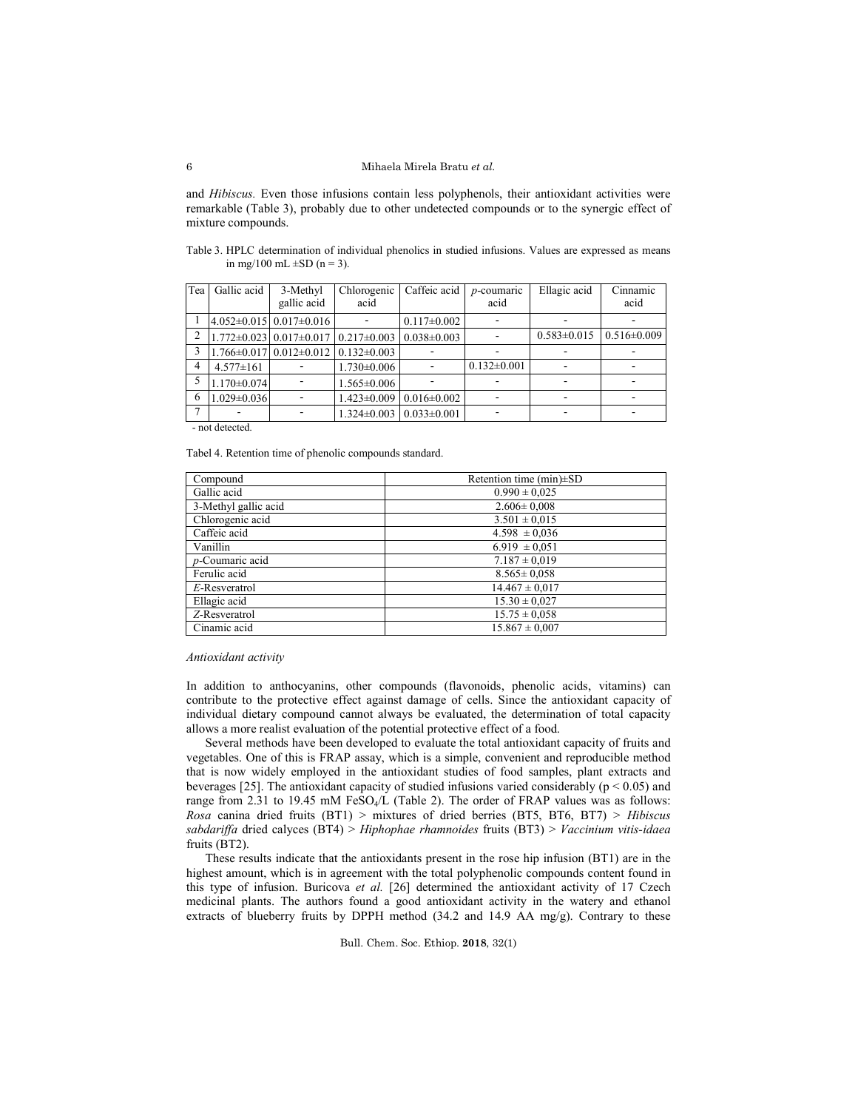and *Hibiscus.* Even those infusions contain less polyphenols, their antioxidant activities were remarkable (Table 3), probably due to other undetected compounds or to the synergic effect of mixture compounds.

Table 3. HPLC determination of individual phenolics in studied infusions. Values are expressed as means in mg/100 mL  $\pm$ SD (n = 3).

| Tea            | Gallic acid       | 3-Methyl<br>gallic acid             | Chlorogenic<br>acid | Caffeic acid             | $p$ -coumaric<br>acid | Ellagic acid      | Cinnamic<br>acid  |
|----------------|-------------------|-------------------------------------|---------------------|--------------------------|-----------------------|-------------------|-------------------|
|                |                   | $4.052\pm0.015$ 0.017 $\pm0.016$    |                     | $0.117 \pm 0.002$        |                       |                   |                   |
| $\overline{2}$ |                   | $1.772 \pm 0.023$ 0.017 $\pm 0.017$ | $0.217 \pm 0.003$   | $0.038 \pm 0.003$        |                       | $0.583 \pm 0.015$ | $0.516 \pm 0.009$ |
| 3              |                   | $1.766 \pm 0.017$ 0.012 $\pm$ 0.012 | $0.132 \pm 0.003$   |                          |                       |                   |                   |
| 4              | $4.577 \pm 161$   |                                     | $1.730 \pm 0.006$   | $\overline{\phantom{a}}$ | $0.132 \pm 0.001$     |                   |                   |
| 5              | $1.170 \pm 0.074$ |                                     | $1.565 \pm 0.006$   |                          |                       |                   |                   |
| 6              | $1.029 \pm 0.036$ |                                     | $1.423 \pm 0.009$   | $0.016 \pm 0.002$        |                       |                   |                   |
| $\mathcal{L}$  |                   |                                     | $1.324 \pm 0.003$   | $0.033 \pm 0.001$        |                       |                   |                   |

- not detected.

Tabel 4. Retention time of phenolic compounds standard.

| Compound             | Retention time $(min)\pm SD$ |
|----------------------|------------------------------|
| Gallic acid          | $0.990 \pm 0.025$            |
| 3-Methyl gallic acid | $2.606 \pm 0.008$            |
| Chlorogenic acid     | $3.501 \pm 0.015$            |
| Caffeic acid         | $4.598 \pm 0.036$            |
| Vanillin             | $6.919 \pm 0.051$            |
| $p$ -Coumaric acid   | $7.187 \pm 0.019$            |
| Ferulic acid         | $8.565 \pm 0.058$            |
| E-Resveratrol        | $14.467 \pm 0.017$           |
| Ellagic acid         | $15.30 \pm 0.027$            |
| Z-Resveratrol        | $15.75 \pm 0.058$            |
| Cinamic acid         | $15.867 \pm 0.007$           |

### *Antioxidant activity*

In addition to anthocyanins, other compounds (flavonoids, phenolic acids, vitamins) can contribute to the protective effect against damage of cells. Since the antioxidant capacity of individual dietary compound cannot always be evaluated, the determination of total capacity allows a more realist evaluation of the potential protective effect of a food.

Several methods have been developed to evaluate the total antioxidant capacity of fruits and vegetables. One of this is FRAP assay, which is a simple, convenient and reproducible method that is now widely employed in the antioxidant studies of food samples, plant extracts and beverages [25]. The antioxidant capacity of studied infusions varied considerably ( $p < 0.05$ ) and range from 2.31 to 19.45 mM FeSO4/L (Table 2). The order of FRAP values was as follows: *Rosa* canina dried fruits (BT1) > mixtures of dried berries (BT5, BT6, BT7) > *Hibiscus sabdariffa* dried calyces (BT4) > *Hiphophae rhamnoides* fruits (BT3) > *Vaccinium vitis-idaea* fruits (BT2).

These results indicate that the antioxidants present in the rose hip infusion (BT1) are in the highest amount, which is in agreement with the total polyphenolic compounds content found in this type of infusion. Buricova *et al.* [26] determined the antioxidant activity of 17 Czech medicinal plants. The authors found a good antioxidant activity in the watery and ethanol extracts of blueberry fruits by DPPH method (34.2 and 14.9 AA mg/g). Contrary to these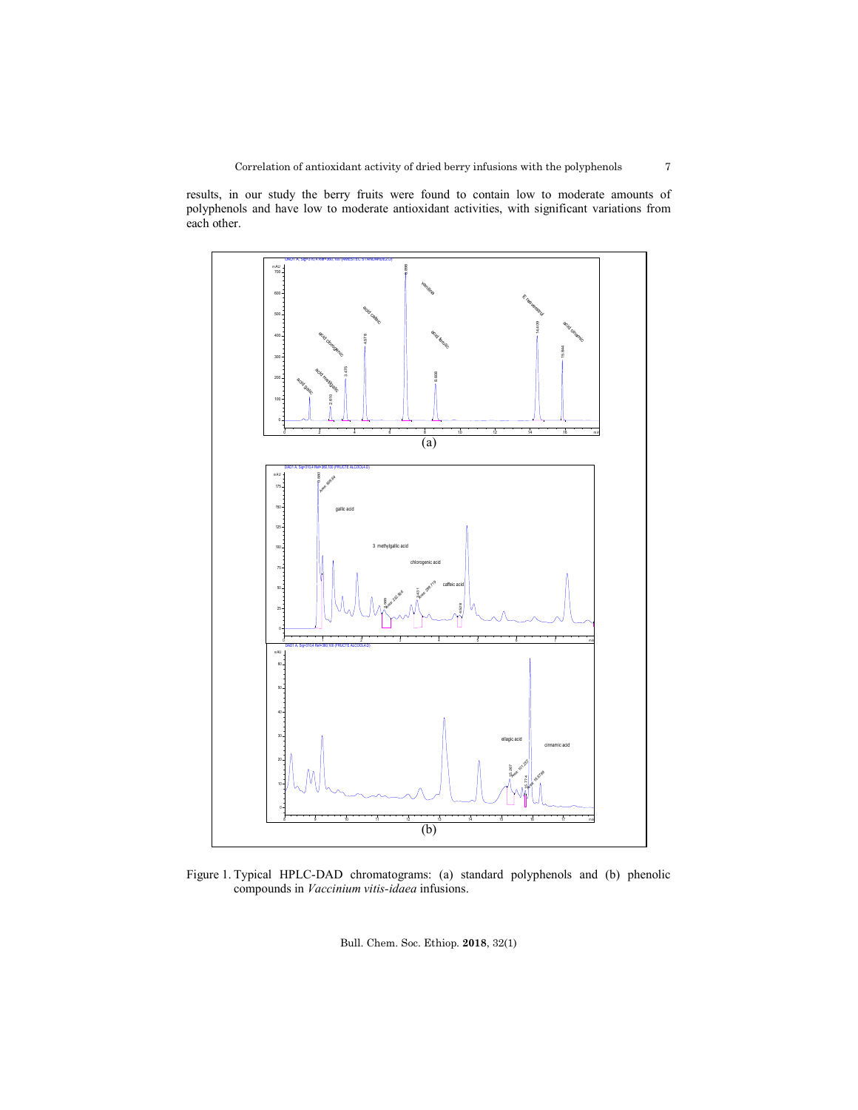results, in our study the berry fruits were found to contain low to moderate amounts of polyphenols and have low to moderate antioxidant activities, with significant variations from each other.



Figure 1. Typical HPLC-DAD chromatograms: (a) standard polyphenols and (b) phenolic compounds in *Vaccinium vitis-idaea* infusions.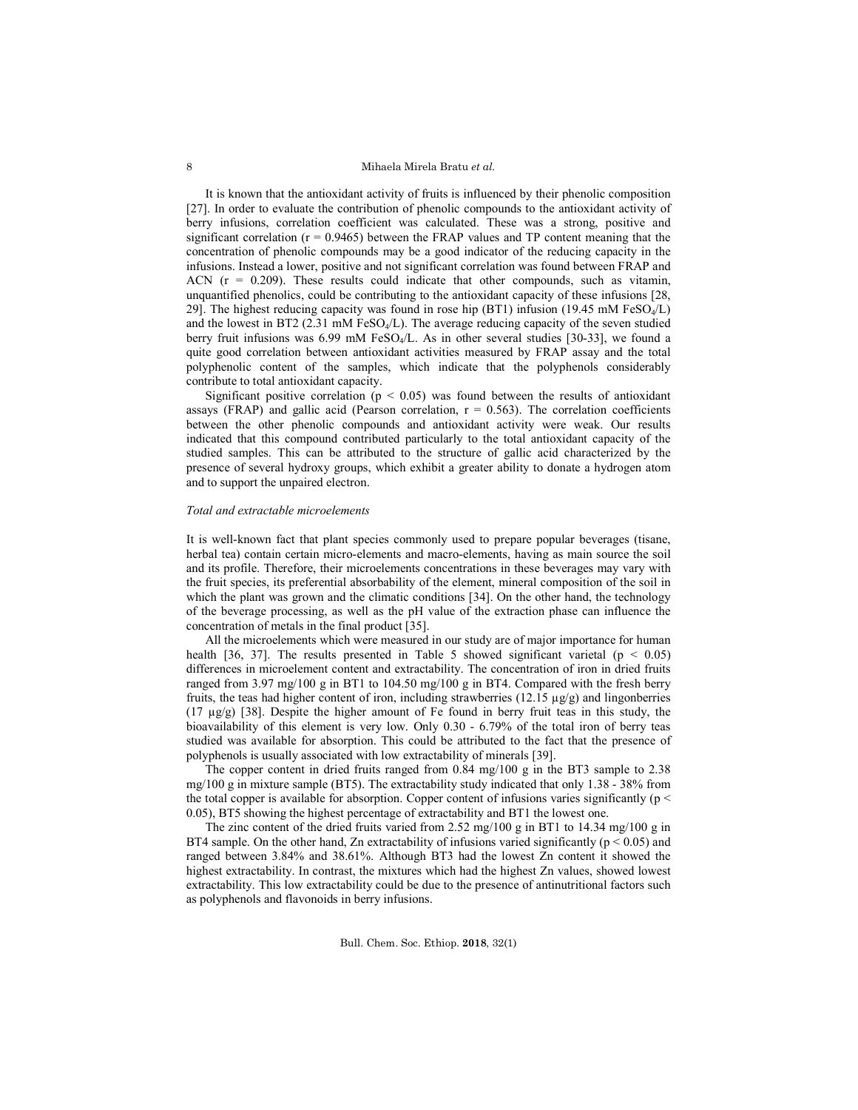### Mihaela Mirela Bratu *et al.*

It is known that the antioxidant activity of fruits is influenced by their phenolic composition [27]. In order to evaluate the contribution of phenolic compounds to the antioxidant activity of berry infusions, correlation coefficient was calculated. These was a strong, positive and significant correlation ( $r = 0.9465$ ) between the FRAP values and TP content meaning that the concentration of phenolic compounds may be a good indicator of the reducing capacity in the infusions. Instead a lower, positive and not significant correlation was found between FRAP and ACN  $(r = 0.209)$ . These results could indicate that other compounds, such as vitamin, unquantified phenolics, could be contributing to the antioxidant capacity of these infusions [28, 29]. The highest reducing capacity was found in rose hip (BT1) infusion (19.45 mM FeSO $_4$ /L) and the lowest in BT2 (2.31 mM  $FeSO<sub>4</sub>/L$ ). The average reducing capacity of the seven studied berry fruit infusions was  $6.99$  mM FeSO<sub>4</sub>/L. As in other several studies [30-33], we found a quite good correlation between antioxidant activities measured by FRAP assay and the total polyphenolic content of the samples, which indicate that the polyphenols considerably contribute to total antioxidant capacity.

Significant positive correlation ( $p \le 0.05$ ) was found between the results of antioxidant assays (FRAP) and gallic acid (Pearson correlation,  $r = 0.563$ ). The correlation coefficients between the other phenolic compounds and antioxidant activity were weak. Our results indicated that this compound contributed particularly to the total antioxidant capacity of the studied samples. This can be attributed to the structure of gallic acid characterized by the presence of several hydroxy groups, which exhibit a greater ability to donate a hydrogen atom and to support the unpaired electron.

# *Total and extractable microelements*

It is well-known fact that plant species commonly used to prepare popular beverages (tisane, herbal tea) contain certain micro-elements and macro-elements, having as main source the soil and its profile. Therefore, their microelements concentrations in these beverages may vary with the fruit species, its preferential absorbability of the element, mineral composition of the soil in which the plant was grown and the climatic conditions [34]. On the other hand, the technology of the beverage processing, as well as the pH value of the extraction phase can influence the concentration of metals in the final product [35].

All the microelements which were measured in our study are of major importance for human health [36, 37]. The results presented in Table 5 showed significant varietal ( $p < 0.05$ ) differences in microelement content and extractability. The concentration of iron in dried fruits ranged from 3.97 mg/100 g in BT1 to 104.50 mg/100 g in BT4. Compared with the fresh berry fruits, the teas had higher content of iron, including strawberries (12.15  $\mu$ g/g) and lingonberries (17 µg/g) [38]. Despite the higher amount of Fe found in berry fruit teas in this study, the bioavailability of this element is very low. Only 0.30 - 6.79% of the total iron of berry teas studied was available for absorption. This could be attributed to the fact that the presence of polyphenols is usually associated with low extractability of minerals [39].

The copper content in dried fruits ranged from 0.84 mg/100 g in the BT3 sample to 2.38 mg/100 g in mixture sample (BT5). The extractability study indicated that only 1.38 - 38% from the total copper is available for absorption. Copper content of infusions varies significantly ( $p <$ 0.05), BT5 showing the highest percentage of extractability and BT1 the lowest one.

The zinc content of the dried fruits varied from 2.52 mg/100 g in BT1 to 14.34 mg/100 g in BT4 sample. On the other hand, Zn extractability of infusions varied significantly ( $p < 0.05$ ) and ranged between 3.84% and 38.61%. Although BT3 had the lowest Zn content it showed the highest extractability. In contrast, the mixtures which had the highest Zn values, showed lowest extractability. This low extractability could be due to the presence of antinutritional factors such as polyphenols and flavonoids in berry infusions.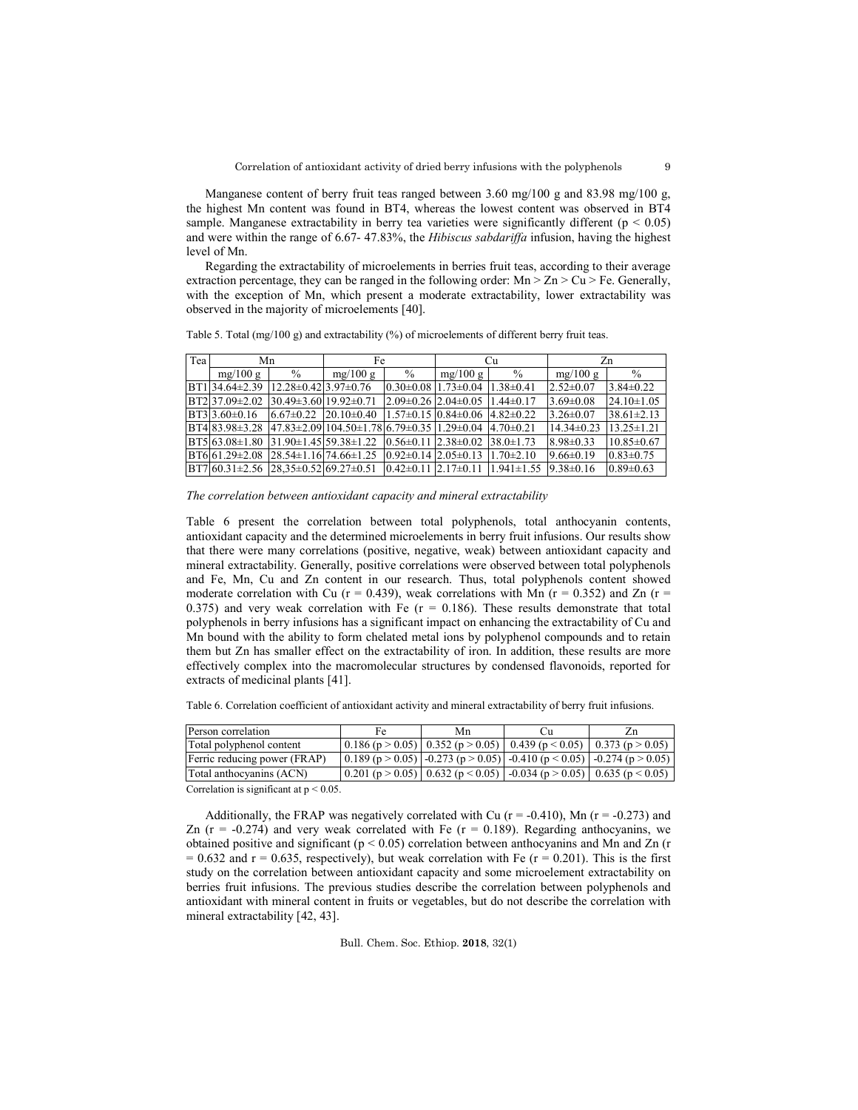Manganese content of berry fruit teas ranged between  $3.60 \text{ mg}/100 \text{ g}$  and  $83.98 \text{ mg}/100 \text{ g}$ , the highest Mn content was found in BT4, whereas the lowest content was observed in BT4 sample. Manganese extractability in berry tea varieties were significantly different ( $p < 0.05$ ) and were within the range of 6.67- 47.83%, the *Hibiscus sabdariffa* infusion, having the highest level of Mn.

Regarding the extractability of microelements in berries fruit teas, according to their average extraction percentage, they can be ranged in the following order:  $Mn > Zn > Cu > Fe$ . Generally, with the exception of Mn, which present a moderate extractability, lower extractability was observed in the majority of microelements [40].

|  |  |  |  | Table 5. Total $(mg/100 g)$ and extractability $(\%)$ of microelements of different berry fruit teas. |  |  |  |  |  |  |  |
|--|--|--|--|-------------------------------------------------------------------------------------------------------|--|--|--|--|--|--|--|
|--|--|--|--|-------------------------------------------------------------------------------------------------------|--|--|--|--|--|--|--|

| Tea | Mn                   |                                 | Fe                                                                                              |                              |                                           | Cu              | Zn               |                  |  |
|-----|----------------------|---------------------------------|-------------------------------------------------------------------------------------------------|------------------------------|-------------------------------------------|-----------------|------------------|------------------|--|
|     | mg/100 g             | $\%$                            | mg/100 g                                                                                        | $\%$                         | mg/100 g                                  | $\%$            | mg/100 g         | $\%$             |  |
|     | BT1134.64±2.39       | 12.28±0.42 3.97±0.76            |                                                                                                 | $0.30\pm0.08$ 1.73 $\pm0.04$ |                                           | $1.38 \pm 0.41$ | $2.52 \pm 0.07$  | $3.84 \pm 0.22$  |  |
|     | BT2 37.09±2.02       | $30.49\pm3.60$ 19.92 $\pm$ 0.71 |                                                                                                 | $2.09\pm0.26$ $2.04\pm0.05$  |                                           | $1.44\pm 0.17$  | $3.69 \pm 0.08$  | $24.10 \pm 1.05$ |  |
|     | $BT313.60\pm0.16$    |                                 | $6.67 \pm 0.22$ 20.10 $\pm 0.40$                                                                |                              | $1.57\pm0.15$ 0.84 $\pm0.06$              | $4.82\pm0.22$   | $3.26 \pm 0.07$  | $38.61 \pm 2.13$ |  |
|     | BT4183.98±3.28       |                                 | $147.83 \pm 2.09$ 104.50 $\pm$ 1.78 6.79 $\pm$ 0.35 1.29 $\pm$ 0.04                             |                              |                                           | $4.70 \pm 0.21$ | $14.34 \pm 0.23$ | $13.25 \pm 1.21$ |  |
|     | $BT5 63.08\pm1.80$   |                                 | $31.90\pm1.45$ $59.38\pm1.22$                                                                   |                              | $0.56\pm0.11$ $2.38\pm0.02$ $38.0\pm1.73$ |                 | $8.98 \pm 0.33$  | $10.85 \pm 0.67$ |  |
|     | $BT6 61.29 \pm 2.08$ |                                 | $28.54 \pm 1.16$ 74.66 $\pm 1.25$                                                               |                              | $0.92 \pm 0.14$ $2.05 \pm 0.13$           | $1.70 \pm 2.10$ | $9.66 \pm 0.19$  | $0.83 \pm 0.75$  |  |
|     |                      |                                 | $ BT7 60.31 \pm 2.56 28.35 \pm 0.52 69.27 \pm 0.51 0.42 \pm 0.11 2.17 \pm 0.11 1.941 \pm 1.55 $ |                              |                                           |                 | $9.38 \pm 0.16$  | $0.89 \pm 0.63$  |  |

*The correlation between antioxidant capacity and mineral extractability*

Table 6 present the correlation between total polyphenols, total anthocyanin contents, antioxidant capacity and the determined microelements in berry fruit infusions. Our results show that there were many correlations (positive, negative, weak) between antioxidant capacity and mineral extractability. Generally, positive correlations were observed between total polyphenols and Fe, Mn, Cu and Zn content in our research. Thus, total polyphenols content showed moderate correlation with Cu ( $r = 0.439$ ), weak correlations with Mn ( $r = 0.352$ ) and Zn ( $r =$ 0.375) and very weak correlation with Fe  $(r = 0.186)$ . These results demonstrate that total polyphenols in berry infusions has a significant impact on enhancing the extractability of Cu and Mn bound with the ability to form chelated metal ions by polyphenol compounds and to retain them but Zn has smaller effect on the extractability of iron. In addition, these results are more effectively complex into the macromolecular structures by condensed flavonoids, reported for extracts of medicinal plants [41].

Table 6. Correlation coefficient of antioxidant activity and mineral extractability of berry fruit infusions.

| Fe | Mn | Cп |                                                                                                                                                                                                                                                                                                                                                                     |  |  |
|----|----|----|---------------------------------------------------------------------------------------------------------------------------------------------------------------------------------------------------------------------------------------------------------------------------------------------------------------------------------------------------------------------|--|--|
|    |    |    |                                                                                                                                                                                                                                                                                                                                                                     |  |  |
|    |    |    |                                                                                                                                                                                                                                                                                                                                                                     |  |  |
|    |    |    |                                                                                                                                                                                                                                                                                                                                                                     |  |  |
|    |    |    | $\vert 0.186 \; (p > 0.05) \vert 0.352 \; (p > 0.05) \vert 0.439 \; (p < 0.05) \vert 0.373 \; (p > 0.05)$<br>$\vert 0.189 \; (\text{p} > 0.05) \vert -0.273 \; (\text{p} > 0.05) \vert -0.410 \; (\text{p} < 0.05) \vert -0.274 \; (\text{p} > 0.05)$<br>$\vert 0.201 \, (p > 0.05) \vert 0.632 \, (p < 0.05) \vert -0.034 \, (p > 0.05) \vert 0.635 \, (p < 0.05)$ |  |  |

Correlation is significant at  $p < 0.05$ .

Additionally, the FRAP was negatively correlated with Cu ( $r = -0.410$ ), Mn ( $r = -0.273$ ) and Zn ( $r = -0.274$ ) and very weak correlated with Fe ( $r = 0.189$ ). Regarding anthocyanins, we obtained positive and significant ( $p < 0.05$ ) correlation between anthocyanins and Mn and Zn (r  $= 0.632$  and  $r = 0.635$ , respectively), but weak correlation with Fe ( $r = 0.201$ ). This is the first study on the correlation between antioxidant capacity and some microelement extractability on berries fruit infusions. The previous studies describe the correlation between polyphenols and antioxidant with mineral content in fruits or vegetables, but do not describe the correlation with mineral extractability [42, 43].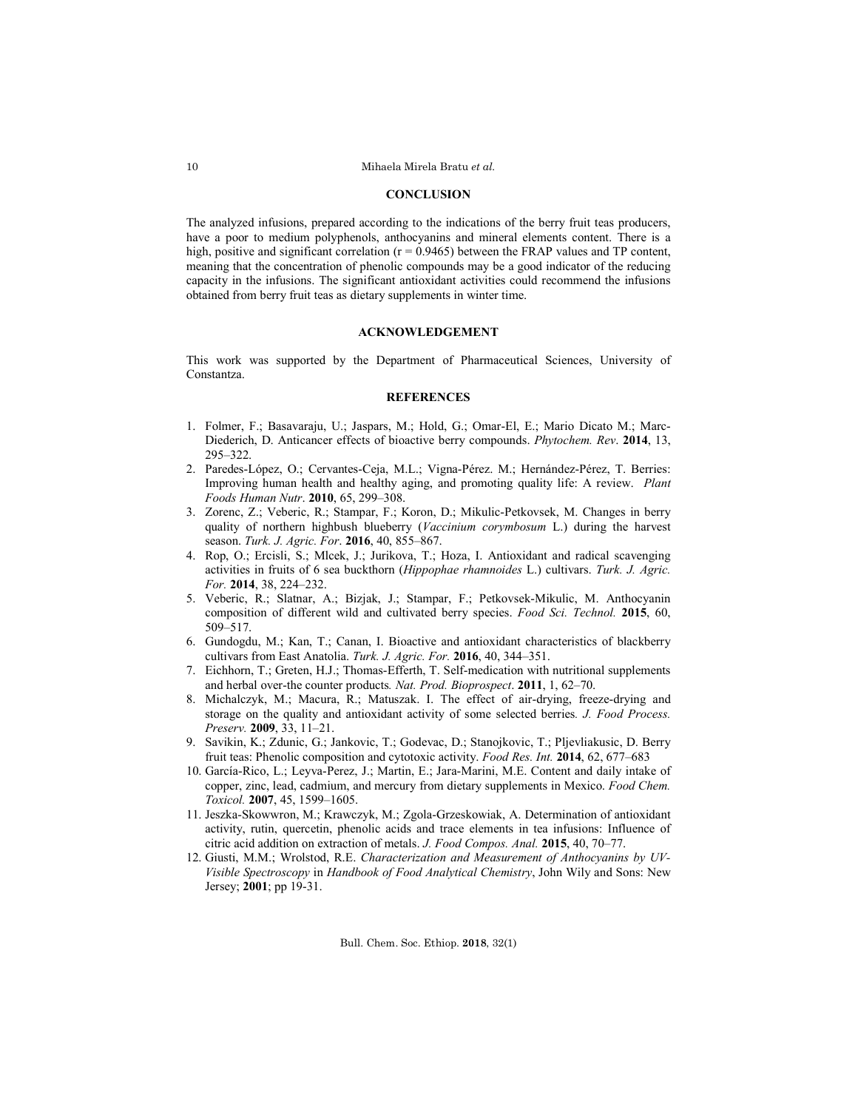#### **CONCLUSION**

The analyzed infusions, prepared according to the indications of the berry fruit teas producers, have a poor to medium polyphenols, anthocyanins and mineral elements content. There is a high, positive and significant correlation  $(r = 0.9465)$  between the FRAP values and TP content, meaning that the concentration of phenolic compounds may be a good indicator of the reducing capacity in the infusions. The significant antioxidant activities could recommend the infusions obtained from berry fruit teas as dietary supplements in winter time.

## **ACKNOWLEDGEMENT**

This work was supported by the Department of Pharmaceutical Sciences, University of Constantza.

#### **REFERENCES**

- 1. Folmer, F.; Basavaraju, U.; Jaspars, M.; Hold, G.; Omar-El, E.; Mario Dicato M.; Marc-Diederich, D. Anticancer effects of bioactive berry compounds. *Phytochem. Rev*. **2014**, 13, 295–322.
- 2. Paredes-López, O.; Cervantes-Ceja, M.L.; Vigna-Pérez. M.; Hernández-Pérez, T. Berries: Improving human health and healthy aging, and promoting quality life: A review. *Plant Foods Human Nutr*. **2010**, 65, 299–308.
- 3. Zorenc, Z.; Veberic, R.; Stampar, F.; Koron, D.; Mikulic-Petkovsek, M. Changes in berry quality of northern highbush blueberry (*Vaccinium corymbosum* L.) during the harvest season. *Turk. J. Agric. For*. **2016**, 40, 855–867.
- 4. Rop, O.; Ercisli, S.; Mlcek, J.; Jurikova, T.; Hoza, I. Antioxidant and radical scavenging activities in fruits of 6 sea buckthorn (*Hippophae rhamnoides* L.) cultivars. *Turk. J. Agric. For.* **2014**, 38, 224–232.
- 5. Veberic, R.; Slatnar, A.; Bizjak, J.; Stampar, F.; Petkovsek-Mikulic, M. Anthocyanin composition of different wild and cultivated berry species. *Food Sci. Technol.* **2015**, 60, 509–517.
- 6. Gundogdu, M.; Kan, T.; Canan, I. Bioactive and antioxidant characteristics of blackberry cultivars from East Anatolia. *Turk. J. Agric. For.* **2016**, 40, 344–351.
- 7. Eichhorn, T.; Greten, H.J.; Thomas-Efferth, T. Self-medication with nutritional supplements and herbal over-the counter products*. Nat. Prod. Bioprospect*. **2011**, 1, 62–70.
- 8. Michalczyk, M.; Macura, R.; Matuszak. I. The effect of air-drying, freeze-drying and storage on the quality and antioxidant activity of some selected berries*. J. Food Process. Preserv.* **2009**, 33, 11–21.
- 9. Savikin, K.; Zdunic, G.; Jankovic, T.; Godevac, D.; Stanojkovic, T.; Pljevliakusic, D. Berry fruit teas: Phenolic composition and cytotoxic activity. *Food Res. Int.* **2014**, 62, 677–683
- 10. García-Rico, L.; Leyva-Perez, J.; Martin, E.; Jara-Marini, M.E. Content and daily intake of copper, zinc, lead, cadmium, and mercury from dietary supplements in Mexico. *Food Chem. Toxicol.* **2007**, 45, 1599–1605.
- 11. Jeszka-Skowwron, M.; Krawczyk, M.; Zgola-Grzeskowiak, A. Determination of antioxidant activity, rutin, quercetin, phenolic acids and trace elements in tea infusions: Influence of citric acid addition on extraction of metals. *J. Food Compos. Anal.* **2015**, 40, 70–77.
- 12. Giusti, M.M.; Wrolstod, R.E. *Characterization and Measurement of Anthocyanins by UV-Visible Spectroscopy* in *Handbook of Food Analytical Chemistry*, John Wily and Sons: New Jersey; **2001**; pp 19-31.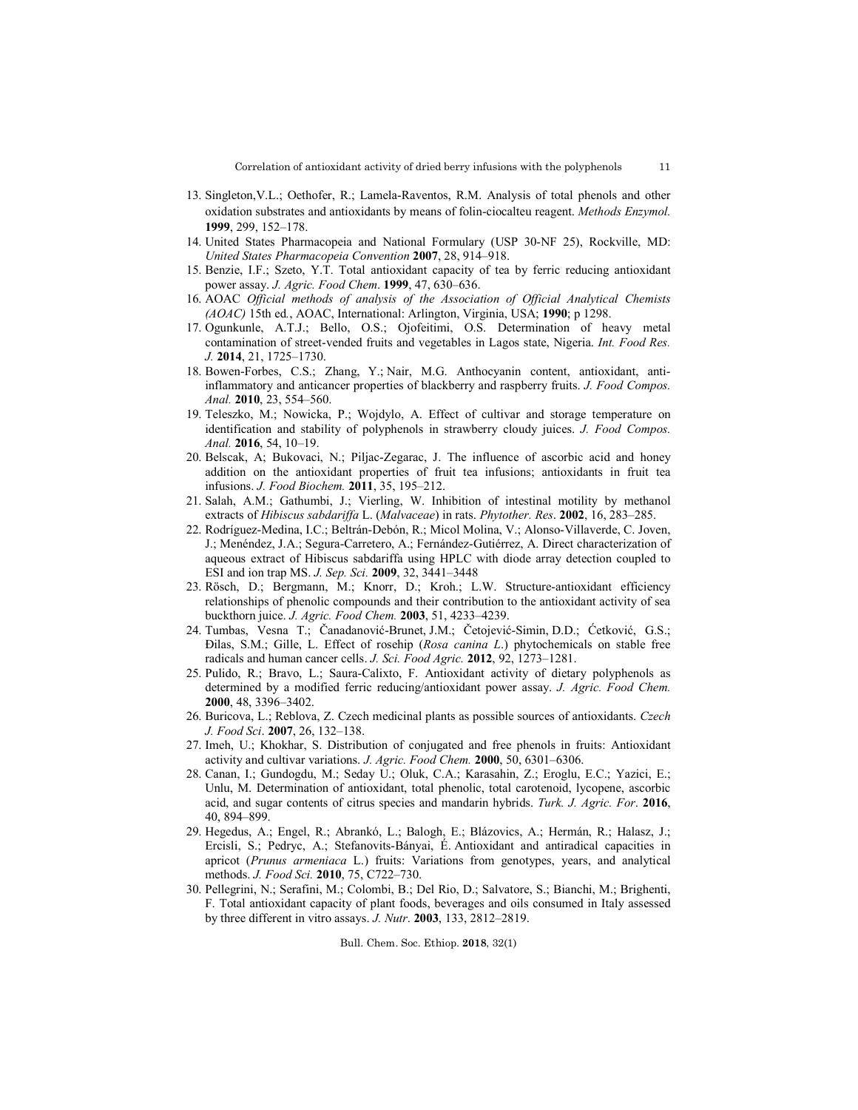- 13. Singleton,V.L.; Oethofer, R.; Lamela-Raventos, R.M. Analysis of total phenols and other oxidation substrates and antioxidants by means of folin-ciocalteu reagent. *Methods Enzymol.* **1999**, 299, 152–178.
- 14. United States Pharmacopeia and National Formulary (USP 30-NF 25), Rockville, MD: *United States Pharmacopeia Convention* **2007**, 28, 914–918.
- 15. Benzie, I.F.; Szeto, Y.T. Total antioxidant capacity of tea by ferric reducing antioxidant power assay. *J. Agric. Food Chem*. **1999**, 47, 630–636.
- 16. AOAC *Official methods of analysis of the Association of Official Analytical Chemists (AOAC)* 15th ed*.*, AOAC, International: Arlington, Virginia, USA; **1990**; p 1298.
- 17. Ogunkunle, A.T.J.; Bello, O.S.; Ojofeitimi, O.S. Determination of heavy metal contamination of street-vended fruits and vegetables in Lagos state, Nigeria. *Int. Food Res. J.* **2014**, 21, 1725–1730.
- 18. Bowen-Forbes, C.S.; Zhang, Y.; Nair, M.G. Anthocyanin content, antioxidant, antiinflammatory and anticancer properties of blackberry and raspberry fruits. *J. Food Compos. Anal.* **2010**, 23, 554–560.
- 19. Teleszko, M.; Nowicka, P.; Wojdylo, A. Effect of cultivar and storage temperature on identification and stability of polyphenols in strawberry cloudy juices. *J. Food Compos. Anal.* **2016**, 54, 10–19.
- 20. Belscak, A; Bukovaci, N.; Piljac-Zegarac, J. The influence of ascorbic acid and honey addition on the antioxidant properties of fruit tea infusions; antioxidants in fruit tea infusions. *J. Food Biochem.* **2011**, 35, 195–212.
- 21. Salah, A.M.; Gathumbi, J.; Vierling, W. Inhibition of intestinal motility by methanol extracts of *Hibiscus sabdariffa* L. (*Malvaceae*) in rats. *Phytother. Res*. **2002**, 16, 283–285.
- 22. Rodríguez-Medina, I.C.; Beltrán-Debón, R.; Micol Molina, V.; Alonso-Villaverde, C. Joven, J.; Menéndez, J.A.; Segura-Carretero, A.; Fernández-Gutiérrez, A. Direct characterization of aqueous extract of Hibiscus sabdariffa using HPLC with diode array detection coupled to ESI and ion trap MS. *J. Sep. Sci.* **2009**, 32, 3441–3448
- 23. Rösch, D.; Bergmann, M.; Knorr, D.; Kroh.; L.W. Structure-antioxidant efficiency relationships of phenolic compounds and their contribution to the antioxidant activity of sea buckthorn juice. *J. Agric. Food Chem.* **2003**, 51, 4233–4239.
- 24. Tumbas, Vesna T.; Čanadanović-Brunet, J.M.; Četojević-Simin, D.D.; Ćetković, G.S.; Ðilas, S.M.; Gille, L. Effect of rosehip (*Rosa canina L*.) phytochemicals on stable free radicals and human cancer cells. *J. Sci. Food Agric.* **2012**, 92, 1273–1281.
- 25. Pulido, R.; Bravo, L.; Saura-Calixto, F. Antioxidant activity of dietary polyphenols as determined by a modified ferric reducing/antioxidant power assay. *J. Agric. Food Chem.* **2000**, 48, 3396–3402.
- 26. Buricova, L.; Reblova, Z. Czech medicinal plants as possible sources of antioxidants. *Czech J. Food Sci*. **2007**, 26, 132–138.
- 27. Imeh, U.; Khokhar, S. Distribution of conjugated and free phenols in fruits: Antioxidant activity and cultivar variations. *J. Agric. Food Chem.* **2000**, 50, 6301–6306.
- 28. Canan, I.; Gundogdu, M.; Seday U.; Oluk, C.A.; Karasahin, Z.; Eroglu, E.C.; Yazici, E.; Unlu, M. Determination of antioxidant, total phenolic, total carotenoid, lycopene, ascorbic acid, and sugar contents of citrus species and mandarin hybrids. *Turk. J. Agric. For*. **2016**, 40, 894–899.
- 29. Hegedus, A.; Engel, R.; Abrankó, L.; Balogh, E.; Blázovics, A.; Hermán, R.; Halasz, J.; Ercisli, S.; Pedryc, A.; Stefanovits-Bányai, É. Antioxidant and antiradical capacities in apricot (*Prunus armeniaca* L.) fruits: Variations from genotypes, years, and analytical methods. *J. Food Sci.* **2010**, 75, C722–730.
- 30. Pellegrini, N.; Serafini, M.; Colombi, B.; Del Rio, D.; Salvatore, S.; Bianchi, M.; Brighenti, F. Total antioxidant capacity of plant foods, beverages and oils consumed in Italy assessed by three different in vitro assays. *J. Nutr*. **2003**, 133, 2812–2819.